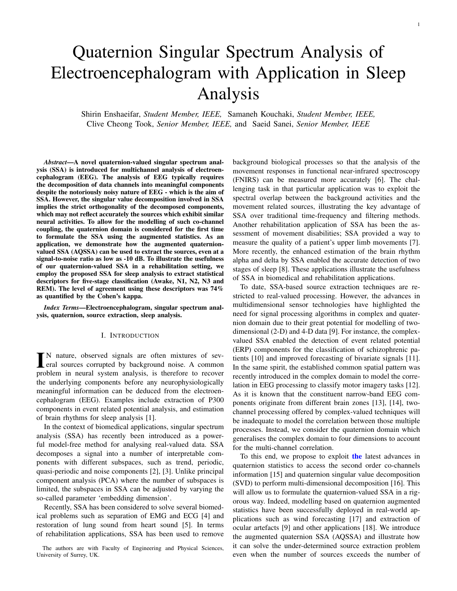# Quaternion Singular Spectrum Analysis of Electroencephalogram with Application in Sleep Analysis

Shirin Enshaeifar, *Student Member, IEEE,* Samaneh Kouchaki, *Student Member, IEEE,* Clive Cheong Took, *Senior Member, IEEE,* and Saeid Sanei, *Senior Member, IEEE*

*Abstract*—A novel quaternion-valued singular spectrum analysis (SSA) is introduced for multichannel analysis of electroencephalogram (EEG). The analysis of EEG typically requires the decomposition of data channels into meaningful components despite the notoriously noisy nature of EEG - which is the aim of SSA. However, the singular value decomposition involved in SSA implies the strict orthogonality of the decomposed components, which may not reflect accurately the sources which exhibit similar neural activities. To allow for the modelling of such co-channel coupling, the quaternion domain is considered for the first time to formulate the SSA using the augmented statistics. As an application, we demonstrate how the augmented quaternionvalued SSA (AQSSA) can be used to extract the sources, even at a signal-to-noise ratio as low as -10 dB. To illustrate the usefulness of our quaternion-valued SSA in a rehabilitation setting, we employ the proposed SSA for sleep analysis to extract statistical descriptors for five-stage classification (Awake, N1, N2, N3 and REM). The level of agreement using these descriptors was 74% as quantified by the Cohen's kappa.

*Index Terms*—Electroencephalogram, singular spectrum analysis, quaternion, source extraction, sleep analysis.

#### I. INTRODUCTION

IN nature, observed signals are often mixtures of several sources corrupted by background noise. A common N nature, observed signals are often mixtures of sevproblem in neural system analysis, is therefore to recover the underlying components before any neurophysiologically meaningful information can be deduced from the electroencephalogram (EEG). Examples include extraction of P300 components in event related potential analysis, and estimation of brain rhythms for sleep analysis [1].

In the context of biomedical applications, singular spectrum analysis (SSA) has recently been introduced as a powerful model-free method for analysing real-valued data. SSA decomposes a signal into a number of interpretable components with different subspaces, such as trend, periodic, quasi-periodic and noise components [2], [3]. Unlike principal component analysis (PCA) where the number of subspaces is limited, the subspaces in SSA can be adjusted by varying the so-called parameter 'embedding dimension'.

Recently, SSA has been considered to solve several biomedical problems such as separation of EMG and ECG [4] and restoration of lung sound from heart sound [5]. In terms of rehabilitation applications, SSA has been used to remove background biological processes so that the analysis of the movement responses in functional near-infrared spectroscopy (FNIRS) can be measured more accurately [6]. The challenging task in that particular application was to exploit the spectral overlap between the background activities and the movement related sources, illustrating the key advantage of SSA over traditional time-frequency and filtering methods. Another rehabilitation application of SSA has been the assessment of movement disabilities; SSA provided a way to measure the quality of a patient's upper limb movements [7]. More recently, the enhanced estimation of the brain rhythm alpha and delta by SSA enabled the accurate detection of two stages of sleep [8]. These applications illustrate the usefulness of SSA in biomedical and rehabilitation applications.

To date, SSA-based source extraction techniques are restricted to real-valued processing. However, the advances in multidimensional sensor technologies have highlighted the need for signal processing algorithms in complex and quaternion domain due to their great potential for modelling of twodimensional (2-D) and 4-D data [9]. For instance, the complexvalued SSA enabled the detection of event related potential (ERP) components for the classification of schizophrenic patients [10] and improved forecasting of bivariate signals [11]. In the same spirit, the established common spatial pattern was recently introduced in the complex domain to model the correlation in EEG processing to classify motor imagery tasks [12]. As it is known that the constituent narrow-band EEG components originate from different brain zones [13], [14], twochannel processing offered by complex-valued techniques will be inadequate to model the correlation between those multiple processes. Instead, we consider the quaternion domain which generalises the complex domain to four dimensions to account for the multi-channel correlation.

To this end, we propose to exploit the latest advances in quaternion statistics to access the second order co-channels information [15] and quaternion singular value decomposition (SVD) to perform multi-dimensional decomposition [16]. This will allow us to formulate the quaternion-valued SSA in a rigorous way. Indeed, modelling based on quaternion augmented statistics have been successfully deployed in real-world applications such as wind forecasting [17] and extraction of ocular artefacts [9] and other applications [18]. We introduce the augmented quaternion SSA (AQSSA) and illustrate how it can solve the under-determined source extraction problem even when the number of sources exceeds the number of

The authors are with Faculty of Engineering and Physical Sciences, University of Surrey, UK.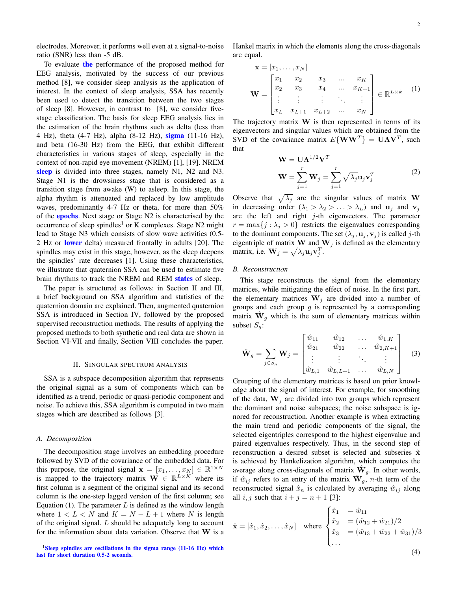electrodes. Moreover, it performs well even at a signal-to-noise ratio (SNR) less than -5 dB.

To evaluate the performance of the proposed method for EEG analysis, motivated by the success of our previous method [8], we consider sleep analysis as the application of interest. In the context of sleep analysis, SSA has recently been used to detect the transition between the two stages of sleep [8]. However, in contrast to [8], we consider fivestage classification. The basis for sleep EEG analysis lies in the estimation of the brain rhythms such as delta (less than 4 Hz), theta (4-7 Hz), alpha (8-12 Hz), **sigma** (11-16 Hz), and beta (16-30 Hz) from the EEG, that exhibit different characteristics in various stages of sleep, especially in the context of non-rapid eye movement (NREM) [1], [19]. NREM sleep is divided into three stages, namely N1, N2 and N3. Stage N1 is the drowsiness stage that is considered as a transition stage from awake (W) to asleep. In this stage, the alpha rhythm is attenuated and replaced by low amplitude waves, predominantly 4-7 Hz or theta, for more than 50% of the epochs. Next stage or Stage N2 is characterised by the occurrence of sleep spindles<sup>1</sup> or K complexes. Stage N2 might lead to Stage N3 which consists of slow wave activities (0.5- 2 Hz or lower delta) measured frontally in adults [20]. The spindles may exist in this stage, however, as the sleep deepens the spindles' rate decreases [1]. Using these characteristics, we illustrate that quaternion SSA can be used to estimate five brain rhythms to track the NREM and REM states of sleep.

The paper is structured as follows: in Section II and III, a brief background on SSA algorithm and statistics of the quaternion domain are explained. Then, augmented quaternion SSA is introduced in Section IV, followed by the proposed supervised reconstruction methods. The results of applying the proposed methods to both synthetic and real data are shown in Section VI-VII and finally, Section VIII concludes the paper.

#### II. SINGULAR SPECTRUM ANALYSIS

SSA is a subspace decomposition algorithm that represents the original signal as a sum of components which can be identified as a trend, periodic or quasi-periodic component and noise. To achieve this, SSA algorithm is computed in two main stages which are described as follows [3].

#### *A. Decomposition*

The decomposition stage involves an embedding procedure followed by SVD of the covariance of the embedded data. For this purpose, the original signal  $\mathbf{x} = [x_1, \dots, x_N] \in \mathbb{R}^{1 \times N}$ is mapped to the trajectory matrix  $\mathbf{W} \in \mathbb{R}^{L \times K}$  where its first column is a segment of the original signal and its second column is the one-step lagged version of the first column; see Equation (1). The parameter  $L$  is defined as the window length where  $1 < L < N$  and  $K = N - L + 1$  where N is length of the original signal. L should be adequately long to account for the information about data variation. Observe that  $W$  is a

 $1$ Sleep spindles are oscillations in the sigma range (11-16 Hz) which last for short duration 0.5-2 seconds.

Hankel matrix in which the elements along the cross-diagonals are equal.

$$
\mathbf{x} = [x_1, ..., x_N]
$$
  
\n
$$
\mathbf{W} = \begin{bmatrix} x_1 & x_2 & x_3 & ... & x_K \\ x_2 & x_3 & x_4 & ... & x_{K+1} \\ \vdots & \vdots & \vdots & \ddots & \vdots \\ x_L & x_{L+1} & x_{L+2} & ... & x_N \end{bmatrix} \in \mathbb{R}^{L \times k}
$$
 (1)

The trajectory matrix  $W$  is then represented in terms of its eigenvectors and singular values which are obtained from the SVD of the covariance matrix  $E\{WW^T\} = \mathbf{U}\Lambda\mathbf{V}^T$ , such that

$$
\mathbf{W} = \mathbf{U}\mathbf{\Lambda}^{1/2}\mathbf{V}^{T}
$$

$$
\mathbf{W} = \sum_{j=1}^{r} \mathbf{W}_{j} = \sum_{j=1}^{r} \sqrt{\lambda_{j}} \mathbf{u}_{j} \mathbf{v}_{j}^{T}
$$
(2)

Observe that  $\sqrt{\lambda_j}$  are the singular values of matrix W in decreasing order  $(\lambda_1 > \lambda_2 > ... > \lambda_L)$  and  $\mathbf{u}_j$  and  $\mathbf{v}_j$ are the left and right  $j$ -th eigenvectors. The parameter  $r = \max\{j : \lambda_j > 0\}$  restricts the eigenvalues corresponding to the dominant components. The set  $(\lambda_j, \mathbf{u}_j, \mathbf{v}_j)$  is called j-th eigentriple of matrix W and  $W_j$  is defined as the elementary matrix, i.e.  $\mathbf{W}_j = \sqrt{\lambda_j} \mathbf{u}_j \mathbf{v}_j^T$ .

## *B. Reconstruction*

This stage reconstructs the signal from the elementary matrices, while mitigating the effect of noise. In the first part, the elementary matrices  $W_j$  are divided into a number of groups and each group  $g$  is represented by a corresponding matrix  $\hat{\mathbf{W}}_g$  which is the sum of elementary matrices within subset  $S_a$ :

$$
\hat{\mathbf{W}}_g = \sum_{j \in S_g} \mathbf{W}_j = \begin{bmatrix} \hat{w}_{11} & \hat{w}_{12} & \dots & \hat{w}_{1,K} \\ \hat{w}_{21} & \hat{w}_{22} & \dots & \hat{w}_{2,K+1} \\ \vdots & \vdots & \ddots & \vdots \\ \hat{w}_{L,1} & \hat{w}_{L,L+1} & \dots & \hat{w}_{L,N} \end{bmatrix}
$$
(3)

Grouping of the elementary matrices is based on prior knowledge about the signal of interest. For example, for smoothing of the data,  $W_i$  are divided into two groups which represent the dominant and noise subspaces; the noise subspace is ignored for reconstruction. Another example is when extracting the main trend and periodic components of the signal, the selected eigentriples correspond to the highest eigenvalue and paired eigenvalues respectively. Thus, in the second step of reconstruction a desired subset is selected and subseries  $\hat{x}$ is achieved by Hankelization algorithm, which computes the average along cross-diagonals of matrix  $\hat{\mathbf{W}}_g$ . In other words, if  $\hat{w}_{ij}$  refers to an entry of the matrix  $\hat{\mathbf{W}}_g$ , *n*-th term of the reconstructed signal  $\hat{x}_n$  is calculated by averaging  $\hat{w}_{ij}$  along all  $i, j$  such that  $i + j = n + 1$  [3]:

$$
\hat{\mathbf{x}} = [\hat{x}_1, \hat{x}_2, \dots, \hat{x}_N] \quad \text{where } \begin{cases} \hat{x}_1 &= \hat{w}_{11} \\ \hat{x}_2 &= (\hat{w}_{12} + \hat{w}_{21})/2 \\ \hat{x}_3 &= (\hat{w}_{13} + \hat{w}_{22} + \hat{w}_{31})/3 \\ \dots \end{cases}
$$

(4)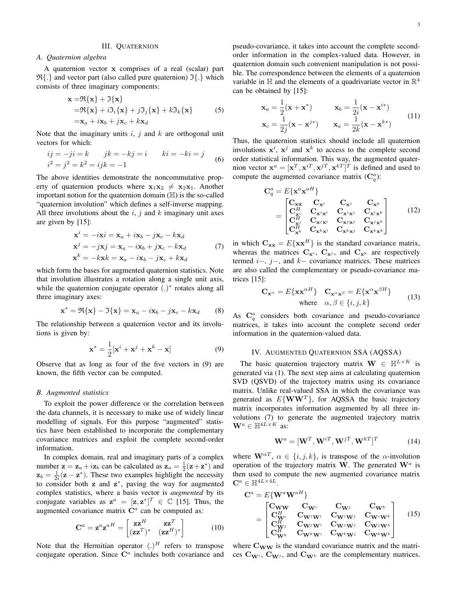#### III. QUATERNION

# *A. Quaternion algebra*

A quaternion vector x comprises of a real (scalar) part  $\mathfrak{R}\{\cdot\}$  and vector part (also called pure quaternion)  $\mathfrak{I}\{\cdot\}$  which consists of three imaginary components:

$$
\mathbf{x} = \Re{\mathbf{x}} + \Im{\mathbf{x}}
$$
  
=  $\Re{\mathbf{x}} + i\Im_{i}{\mathbf{x}} + j\Im_{j}{\mathbf{x}} + k\Im_{k}{\mathbf{x}}$   
=  $\mathbf{x}_{a} + i\mathbf{x}_{b} + j\mathbf{x}_{c} + k\mathbf{x}_{d}$  (5)

Note that the imaginary units  $i, j$  and  $k$  are orthogonal unit vectors for which:

$$
ij = -ji = k
$$
  $jk = -kj = i$   $ki = -ki = j$   
 $i^2 = j^2 = k^2 = ijk = -1$  (6)

The above identities demonstrate the noncommutative property of quaternion products where  $x_1x_2 \neq x_2x_1$ . Another important notion for the quaternion domain  $(\mathbb{H})$  is the so-called "quaternion involution" which defines a self-inverse mapping. All three involutions about the  $i, j$  and  $k$  imaginary unit axes are given by [15]:

$$
\mathbf{x}^{i} = -i\mathbf{x}^{i} = \mathbf{x}_{a} + i\mathbf{x}_{b} - j\mathbf{x}_{c} - k\mathbf{x}_{d}
$$
  
\n
$$
\mathbf{x}^{j} = -j\mathbf{x}^{j} = \mathbf{x}_{a} - i\mathbf{x}_{b} + j\mathbf{x}_{c} - k\mathbf{x}_{d}
$$
  
\n
$$
\mathbf{x}^{k} = -k\mathbf{x}^{k} = \mathbf{x}_{a} - i\mathbf{x}_{b} - j\mathbf{x}_{c} + k\mathbf{x}_{d}
$$
\n(7)

which form the bases for augmented quaternion statistics. Note that involution illustrates a rotation along a single unit axis, while the quaternion conjugate operator (.)<sup>\*</sup> rotates along all three imaginary axes:

$$
\mathbf{x}^* = \Re{\{\mathbf{x}\}} - \Im{\{\mathbf{x}\}} = \mathbf{x}_a - i\mathbf{x}_b - j\mathbf{x}_c - k\mathbf{x}_d \qquad (8)
$$

The relationship between a quaternion vector and its involutions is given by:

$$
\mathbf{x}^* = \frac{1}{2} [\mathbf{x}^i + \mathbf{x}^j + \mathbf{x}^k - \mathbf{x}] \tag{9}
$$

Observe that as long as four of the five vectors in (9) are known, the fifth vector can be computed.

#### *B. Augmented statistics*

To exploit the power difference or the correlation between the data channels, it is necessary to make use of widely linear modelling of signals. For this purpose "augmented" statistics have been established to incorporate the complementary covariance matrices and exploit the complete second-order information.

In complex domain, real and imaginary parts of a complex number  $z = z_a + iz_b$  can be calculated as  $z_a = \frac{1}{2}(z + z^*)$  and  $z_b = \frac{1}{2i} (z - z^*)$ . These two examples highlight the necessity to consider both  $z$  and  $z^*$ , paving the way for augmented complex statistics, where a basis vector is *augmented* by its conjugate variables as  $z^a = [z, z^*]^T \in \mathbb{C}$  [15]. Thus, the augmented covariance matrix  $\mathbb{C}^a$  can be computed as:

$$
\mathbf{C}^a = \mathbf{z}^a \mathbf{z}^{aH} = \begin{bmatrix} \mathbf{z} \mathbf{z}^H & \mathbf{z} \mathbf{z}^T \\ (\mathbf{z} \mathbf{z}^T)^* & (\mathbf{z} \mathbf{z}^H)^* \end{bmatrix}
$$
(10)

Note that the Hermitian operator  $(.)^H$  refers to transpose conjugate operation. Since  $\mathbb{C}^a$  includes both covariance and pseudo-covariance, it takes into account the complete secondorder information in the complex-valued data. However, in quaternion domain such convenient manipulation is not possible. The correspondence between the elements of a quaternion variable in  $\mathbb H$  and the elements of a quadrivariate vector in  $\mathbb R^4$ can be obtained by [15]:

$$
\mathbf{x}_{a} = \frac{1}{2}(\mathbf{x} + \mathbf{x}^{*}) \qquad \mathbf{x}_{b} = \frac{1}{2i}(\mathbf{x} - \mathbf{x}^{i*})
$$

$$
\mathbf{x}_{c} = \frac{1}{2j}(\mathbf{x} - \mathbf{x}^{j*}) \qquad \mathbf{x}_{a} = \frac{1}{2k}(\mathbf{x} - \mathbf{x}^{k*})
$$
(11)

Thus, the quaternion statistics should include all quaternion involutions  $x^i$ ,  $x^j$  and  $x^k$  to access to the complete second order statistical information. This way, the augmented quaternion vector  $\mathbf{x}^a = [\mathbf{x}^T, \mathbf{x}^{iT}, \mathbf{x}^{jT}, \mathbf{x}^{kT}]^T$  is defined and used to compute the augmented covariance matrix  $(C_q^a)$ :

$$
\mathbf{C}_{q}^{a} = E\{\mathbf{x}^{a}\mathbf{x}^{aH}\}\n= \begin{bmatrix}\n\mathbf{C}_{\mathbf{x}\mathbf{x}} & \mathbf{C}_{\mathbf{x}^{i}} & \mathbf{C}_{\mathbf{x}^{j}} & \mathbf{C}_{\mathbf{x}^{k}} \\
\mathbf{C}_{\mathbf{x}^{i}}^{H} & \mathbf{C}_{\mathbf{x}^{i}\mathbf{x}^{i}} & \mathbf{C}_{\mathbf{x}^{i}\mathbf{x}^{j}} & \mathbf{C}_{\mathbf{x}^{i}\mathbf{x}^{k}} \\
\mathbf{C}_{\mathbf{x}^{j}}^{H} & \mathbf{C}_{\mathbf{x}^{j}\mathbf{x}^{i}} & \mathbf{C}_{\mathbf{x}^{j}\mathbf{x}^{j}} & \mathbf{C}_{\mathbf{x}^{j}\mathbf{x}^{k}} \\
\mathbf{C}_{\mathbf{x}^{k}}^{H} & \mathbf{C}_{\mathbf{x}^{k}\mathbf{x}^{i}} & \mathbf{C}_{\mathbf{x}^{k}\mathbf{x}^{j}} & \mathbf{C}_{\mathbf{x}^{k}\mathbf{x}^{k}}\n\end{bmatrix} (12)
$$

in which  $C_{xx} = E\{xx^H\}$  is the standard covariance matrix, whereas the matrices  $C_{x^i}$ ,  $C_{x^j}$ , and  $C_{x^k}$  are respectively termed  $i-, j-,$  and  $k-$  covariance matrices. These matrices are also called the complementary or pseudo-covariance matrices [15]:

$$
\mathbf{C}_{\mathbf{x}^{\alpha}} = E\{\mathbf{x}\mathbf{x}^{\alpha H}\} \quad \mathbf{C}_{\mathbf{x}^{\alpha}\mathbf{x}^{\beta}} = E\{\mathbf{x}^{\alpha}\mathbf{x}^{\beta H}\} \quad \text{where} \quad \alpha, \beta \in \{i, j, k\}
$$
 (13)

As  $\mathbf{C}_q^a$  considers both covariance and pseudo-covariance matrices, it takes into account the complete second order information in the quaternion-valued data.

## IV. AUGMENTED QUATERNION SSA (AQSSA)

The basic quaternion trajectory matrix  $\mathbf{W} \in \mathbb{H}^{L \times K}$  is generated via (1). The next step aims at calculating quaternion SVD (QSVD) of the trajectory matrix using its covariance matrix. Unlike real-valued SSA in which the covariance was generated as  $E\{WW^T\}$ , for AQSSA the basic trajectory matrix incorporates information augmented by all three involutions (7) to generate the augmented trajectory matrix  $\mathbf{W}^{a} \in \mathbb{H}^{4L \times K}$  as:

$$
\mathbf{W}^a = [\mathbf{W}^T, \mathbf{W}^{iT}, \mathbf{W}^{jT}, \mathbf{W}^{kT}]^T
$$
 (14)

where  $\mathbf{W}^{\alpha T}$ ,  $\alpha \in \{i, j, k\}$ , is transpose of the  $\alpha$ -involution operation of the trajectory matrix W. The generated  $\mathbf{W}^{a}$  is then used to compute the new augmented covariance matrix  $\mathbf{C}^a \in \mathbb{H}^{4L \times 4L}$ .

$$
C^{a} = E\{W^{a}W^{aH}\}\
$$
  
= 
$$
\begin{bmatrix}C_{WW} & C_{W^{i}} & C_{W^{j}} & C_{W^{k}}\\C_{W^{i}}^{H} & C_{W^{i}W^{i}} & C_{W^{i}W^{j}} & C_{W^{i}W^{k}}\\C_{W^{j}}^{H} & C_{W^{j}W^{i}} & C_{W^{j}W^{j}} & C_{W^{j}W^{k}}\\C_{W^{k}}^{H} & C_{W^{k}W^{i}} & C_{W^{k}W^{j}} & C_{W^{k}W^{k}}\end{bmatrix}
$$
(15)

where  $C_{WW}$  is the standard covariance matrix and the matrices  $C_{W_i}$ ,  $C_{W_j}$ , and  $C_{W_k}$  are the complementary matrices.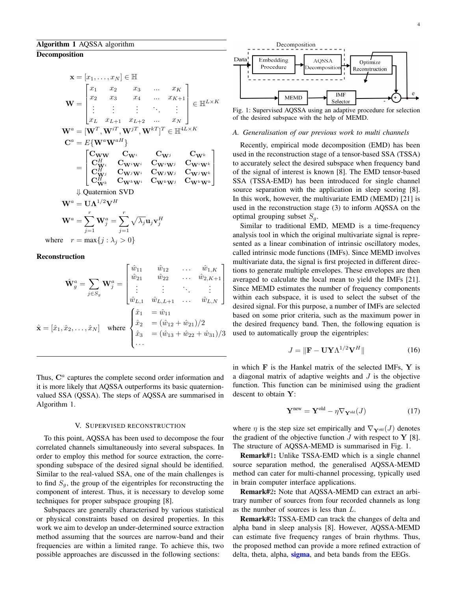$$
\mathbf{x} = [x_1, \dots, x_N] \in \mathbb{H}
$$
\n
$$
\mathbf{W} = \begin{bmatrix} x_1 & x_2 & x_3 & \dots & x_K \\ x_2 & x_3 & x_4 & \dots & x_{K+1} \\ \vdots & \vdots & \vdots & \ddots & \vdots \\ x_L & x_{L+1} & x_{L+2} & \dots & x_N \end{bmatrix} \in \mathbb{H}^{L \times K}
$$
\n
$$
\mathbf{W}^a = [\mathbf{W}^T, \mathbf{W}^{iT}, \mathbf{W}^{jT}, \mathbf{W}^{kT}]^T \in \mathbb{H}^{4L \times K}
$$
\n
$$
\mathbf{C}^a = E{\mathbf{W}^a \mathbf{W}^{aH}}
$$
\n
$$
\mathbf{C}^H_{\mathbf{W}^i} \quad \mathbf{C}_{\mathbf{W}^i} \quad \mathbf{C}_{\mathbf{W}^j} \quad \mathbf{C}_{\mathbf{W}^i \mathbf{W}^j} \quad \mathbf{C}_{\mathbf{W}^j \mathbf{W}^k}
$$
\n
$$
= \begin{bmatrix} \mathbf{C}_{\mathbf{W}^W} & \mathbf{C}_{\mathbf{W}^i} & \mathbf{C}_{\mathbf{W}^j} & \mathbf{C}_{\mathbf{W}^k} \\ \mathbf{C}_{\mathbf{W}^j}^H & \mathbf{C}_{\mathbf{W}^j \mathbf{W}^j} & \mathbf{C}_{\mathbf{W}^j \mathbf{W}^j} & \mathbf{C}_{\mathbf{W}^j \mathbf{W}^k} \\ \mathbf{C}_{\mathbf{W}^k}^H & \mathbf{C}_{\mathbf{W}^k \mathbf{W}^j} & \mathbf{C}_{\mathbf{W}^k \mathbf{W}^j} & \mathbf{C}_{\mathbf{W}^k \mathbf{W}^k} \end{bmatrix}
$$
\n
$$
\Downarrow \text{Quaternion SVD}
$$
\n
$$
\mathbf{W}^a = \mathbf{U} \Lambda^{1/2} \mathbf{V}^H
$$
\n
$$
\mathbf{W}^a = \sum_{j=1}^r \mathbf{W}^a_j = \sum_{j=1}^r \sqrt{\lambda_j} \mathbf{u}_j \mathbf{v}_j^H
$$

where  $r = \max\{j : \lambda_j > 0\}$ 

#### Reconstruction

$$
\hat{\mathbf{W}}_g^a = \sum_{j \in S_g} \mathbf{W}_j^a = \begin{bmatrix} \hat{w}_{11} & \hat{w}_{12} & \dots & \hat{w}_{1,K} \\ \hat{w}_{21} & \hat{w}_{22} & \dots & \hat{w}_{2,K+1} \\ \vdots & \vdots & \ddots & \vdots \\ \hat{w}_{L,1} & \hat{w}_{L,L+1} & \dots & \hat{w}_{L,N} \end{bmatrix}
$$

$$
\hat{\mathbf{x}} = [\hat{x}_1, \hat{x}_2, \dots, \hat{x}_N] \text{ where } \begin{cases} \hat{x}_1 = \hat{w}_{11} \\ \hat{x}_2 = (\hat{w}_{12} + \hat{w}_{21})/2 \\ \hat{x}_3 = (\hat{w}_{13} + \hat{w}_{22} + \hat{w}_{31})/3 \\ \dots \end{cases}
$$

Thus,  $\mathbf{C}^a$  captures the complete second order information and it is more likely that AQSSA outperforms its basic quaternionvalued SSA (QSSA). The steps of AQSSA are summarised in Algorithm 1.

#### V. SUPERVISED RECONSTRUCTION

To this point, AQSSA has been used to decompose the four correlated channels simultaneously into several subspaces. In order to employ this method for source extraction, the corresponding subspace of the desired signal should be identified. Similar to the real-valued SSA, one of the main challenges is to find  $S_q$ , the group of the eigentriples for reconstructing the component of interest. Thus, it is necessary to develop some techniques for proper subspace grouping [8].

Subspaces are generally characterised by various statistical or physical constraints based on desired properties. In this work we aim to develop an under-determined source extraction method assuming that the sources are narrow-band and their frequencies are within a limited range. To achieve this, two possible approaches are discussed in the following sections:



Fig. 1: Supervised AQSSA using an adaptive procedure for selection of the desired subspace with the help of MEMD.

#### *A. Generalisation of our previous work to multi channels*

Recently, empirical mode decomposition (EMD) has been used in the reconstruction stage of a tensor-based SSA (TSSA) to accurately select the desired subspace when frequency band of the signal of interest is known [8]. The EMD tensor-based SSA (TSSA-EMD) has been introduced for single channel source separation with the application in sleep scoring [8]. In this work, however, the multivariate EMD (MEMD) [21] is used in the reconstruction stage (3) to inform AQSSA on the optimal grouping subset  $S_q$ .

Similar to traditional EMD, MEMD is a time-frequency analysis tool in which the original multivariate signal is represented as a linear combination of intrinsic oscillatory modes, called intrinsic mode functions (IMFs). Since MEMD involves multivariate data, the signal is first projected in different directions to generate multiple envelopes. These envelopes are then averaged to calculate the local mean to yield the IMFs [21]. Since MEMD estimates the number of frequency components within each subspace, it is used to select the subset of the desired signal. For this purpose, a number of IMFs are selected based on some prior criteria, such as the maximum power in the desired frequency band. Then, the following equation is used to automatically group the eigentriples:

$$
J = \|\mathbf{F} - \mathbf{U}\mathbf{Y}\Lambda^{1/2}\mathbf{V}^H\|
$$
 (16)

in which  $\bf{F}$  is the Hankel matrix of the selected IMFs,  $\bf{Y}$  is a diagonal matrix of adaptive weights and  $J$  is the objective function. This function can be minimised using the gradient descent to obtain Y:

$$
\mathbf{Y}^{\text{new}} = \mathbf{Y}^{\text{old}} - \eta \nabla_{\mathbf{Y}^{\text{old}}}(J) \tag{17}
$$

where  $\eta$  is the step size set empirically and  $\nabla_{\mathbf{Y}^{\text{old}}} (J)$  denotes the gradient of the objective function  $J$  with respect to  $Y$  [8]. The structure of AQSSA-MEMD is summarised in Fig. 1.

Remark#1: Unlike TSSA-EMD which is a single channel source separation method, the generalised AQSSA-MEMD method can cater for multi-channel processing, typically used in brain computer interface applications.

Remark#2: Note that AQSSA-MEMD can extract an arbitrary number of sources from four recorded channels as long as the number of sources is less than L.

Remark#3: TSSA-EMD can track the changes of delta and alpha band in sleep analysis [8]. However, AQSSA-MEMD can estimate five frequency ranges of brain rhythms. Thus, the proposed method can provide a more refined extraction of delta, theta, alpha, sigma, and beta bands from the EEGs.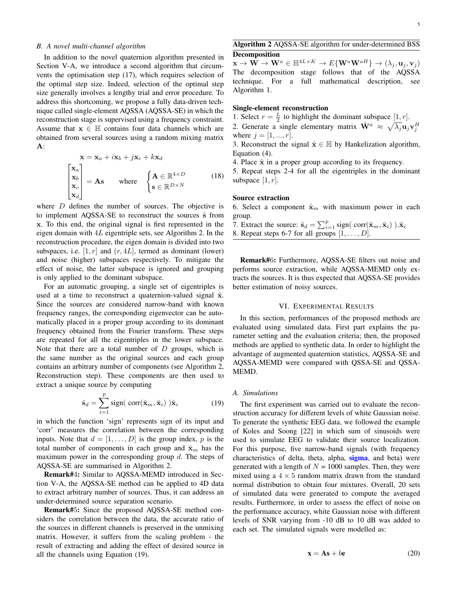#### *B. A novel multi-channel algorithm*

In addition to the novel quaternion algorithm presented in Section V-A, we introduce a second algorithm that circumvents the optimisation step (17), which requires selection of the optimal step size. Indeed, selection of the optimal step size generally involves a lengthy trial and error procedure. To address this shortcoming, we propose a fully data-driven technique called single-element AQSSA (AQSSA-SE) in which the reconstruction stage is supervised using a frequency constraint. Assume that  $x \in \mathbb{H}$  contains four data channels which are obtained from several sources using a random mixing matrix A:

$$
\mathbf{x} = \mathbf{x}_a + i\mathbf{x}_b + j\mathbf{x}_c + k\mathbf{x}_d
$$
\n
$$
\begin{bmatrix}\n\mathbf{x}_a \\
\mathbf{x}_b \\
\mathbf{x}_c \\
\mathbf{x}_d\n\end{bmatrix} = \mathbf{A}\mathbf{s} \quad \text{where} \quad \begin{cases}\n\mathbf{A} \in \mathbb{R}^{4 \times D} \\
\mathbf{s} \in \mathbb{R}^{D \times N}\n\end{cases} \quad (18)
$$

where  $D$  defines the number of sources. The objective is to implement AQSSA-SE to reconstruct the sources  $\hat{s}$  from x. To this end, the original signal is first represented in the eigen domain with 4L eigentriple sets, see Algorithm 2. In the reconstruction procedure, the eigen domain is divided into two subspaces, i.e.  $[1, r]$  and  $(r, 4L]$ , termed as dominant (lower) and noise (higher) subspaces respectively. To mitigate the effect of noise, the latter subspace is ignored and grouping is only applied to the dominant subspace.

For an automatic grouping, a single set of eigentriples is used at a time to reconstruct a quaternion-valued signal  $\hat{x}$ . Since the sources are considered narrow-band with known frequency ranges, the corresponding eigenvector can be automatically placed in a proper group according to its dominant frequency obtained from the Fourier transform. These steps are repeated for all the eigentriples in the lower subspace. Note that there are a total number of  $D$  groups, which is the same number as the original sources and each group contains an arbitrary number of components (see Algorithm 2, Reconstruction step). These components are then used to extract a unique source by computing

$$
\hat{\mathbf{s}}_d = \sum_{i=1}^p \text{sign}(\ \text{corr}(\hat{\mathbf{x}}_m, \hat{\mathbf{x}}_i) \ ) \hat{\mathbf{x}}_i \tag{19}
$$

in which the function 'sign' represents sign of its input and 'corr' measures the correlation between the corresponding inputs. Note that  $d = [1, \ldots, D]$  is the group index, p is the total number of components in each group and  $\hat{\mathbf{x}}_m$  has the maximum power in the corresponding group  $d$ . The steps of AQSSA-SE are summarised in Algorithm 2.

Remark#4: Similar to AQSSA-MEMD introduced in Section V-A, the AQSSA-SE method can be applied to 4D data to extract arbitrary number of sources. Thus, it can address an under-determined source separation scenario.

Remark#5: Since the proposed AQSSA-SE method considers the correlation between the data, the accurate ratio of the sources in different channels is preserved in the unmixing matrix. However, it suffers from the scaling problem - the result of extracting and adding the effect of desired source in all the channels using Equation (19).

# Algorithm 2 AQSSA-SE algorithm for under-determined BSS Decomposition

 $\mathbf{x} \to \mathbf{W} \to \mathbf{W}^a \in \mathbb{H}^{4L \times K} \to E\{\mathbf{W}^a \mathbf{W}^{aH}\} \to (\lambda_j, \mathbf{u}_j, \mathbf{v}_j)$ The decomposition stage follows that of the AQSSA technique. For a full mathematical description, see Algorithm 1.

#### Single-element reconstruction

1. Select  $r = \frac{L}{2}$  to highlight the dominant subspace  $[1, r]$ .

2. Generate a single elementary matrix  $\hat{\mathbf{W}}^a \approx \sqrt{\lambda_j} \mathbf{u}_j \mathbf{v}_j^H$ where  $j = [1, ..., r]$ .

3. Reconstruct the signal  $\hat{\mathbf{x}} \in \mathbb{H}$  by Hankelization algorithm, Equation (4).

4. Place  $\hat{x}$  in a proper group according to its frequency.

5. Repeat steps 2-4 for all the eigentriples in the dominant subspace  $[1, r]$ .

#### Source extraction

6. Select a component  $\hat{\mathbf{x}}_m$  with maximum power in each group.

- 7. Extract the source:  $\hat{\mathbf{s}}_d = \sum_{i=1}^p \text{sign}(\text{ corr}(\hat{\mathbf{x}}_m, \hat{\mathbf{x}}_i) ).\hat{\mathbf{x}}_i$
- 8. Repeat steps 6-7 for all groups  $[1, \ldots, D]$ .

Remark#6: Furthermore, AQSSA-SE filters out noise and performs source extraction, while AQSSA-MEMD only extracts the sources. It is thus expected that AQSSA-SE provides better estimation of noisy sources.

#### VI. EXPERIMENTAL RESULTS

In this section, performances of the proposed methods are evaluated using simulated data. First part explains the parameter setting and the evaluation criteria; then, the proposed methods are applied to synthetic data. In order to highlight the advantage of augmented quaternion statistics, AQSSA-SE and AQSSA-MEMD were compared with QSSA-SE and QSSA-MEMD.

## *A. Simulations*

The first experiment was carried out to evaluate the reconstruction accuracy for different levels of white Gaussian noise. To generate the synthetic EEG data, we followed the example of Koles and Soong [22] in which sum of sinusoids were used to simulate EEG to validate their source localization. For this purpose, five narrow-band signals (with frequency characteristics of delta, theta, alpha, sigma, and beta) were generated with a length of  $N = 1000$  samples. Then, they were mixed using a  $4 \times 5$  random matrix drawn from the standard normal distribution to obtain four mixtures. Overall, 20 sets of simulated data were generated to compute the averaged results. Furthermore, in order to assess the effect of noise on the performance accuracy, white Gaussian noise with different levels of SNR varying from -10 dB to 10 dB was added to each set. The simulated signals were modelled as:

$$
\mathbf{x} = \mathbf{A}\mathbf{s} + b\mathbf{e} \tag{20}
$$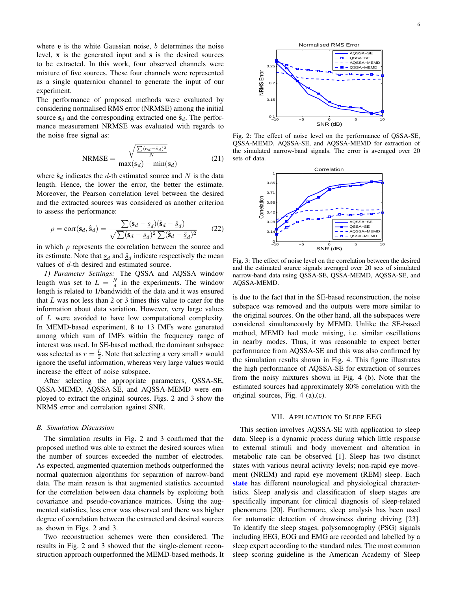where  $e$  is the white Gaussian noise,  $b$  determines the noise level, x is the generated input and s is the desired sources to be extracted. In this work, four observed channels were mixture of five sources. These four channels were represented as a single quaternion channel to generate the input of our experiment.

The performance of proposed methods were evaluated by considering normalised RMS error (NRMSE) among the initial source  $s_d$  and the corresponding extracted one  $\hat{s}_d$ . The performance measurement NRMSE was evaluated with regards to the noise free signal as:

$$
NRMSE = \frac{\sqrt{\frac{\sum(\mathbf{s}_d - \hat{\mathbf{s}}_d)^2}{N}}}{\max(\mathbf{s}_d) - \min(\mathbf{s}_d)}
$$
(21)

where  $\hat{\mathbf{s}}_d$  indicates the d-th estimated source and N is the data length. Hence, the lower the error, the better the estimate. Moreover, the Pearson correlation level between the desired and the extracted sources was considered as another criterion to assess the performance:

$$
\rho = \text{corr}(\mathbf{s}_d, \hat{\mathbf{s}}_d) = \frac{\sum (\mathbf{s}_d - \underline{s}_d)(\hat{\mathbf{s}}_d - \hat{\underline{s}}_d)}{\sqrt{\sum (\mathbf{s}_d - \underline{s}_d)^2 \sum (\hat{\mathbf{s}}_d - \hat{\underline{s}}_d)^2}} \qquad (22)
$$

in which  $\rho$  represents the correlation between the source and its estimate. Note that  $\underline{s}_d$  and  $\underline{\hat{s}}_d$  indicate respectively the mean values of d-th desired and estimated source.

*1) Parameter Settings:* The QSSA and AQSSA window length was set to  $L = \frac{N}{4}$  in the experiments. The window length is related to 1/bandwidth of the data and it was ensured that  $L$  was not less than 2 or 3 times this value to cater for the information about data variation. However, very large values of L were avoided to have low computational complexity. In MEMD-based experiment, 8 to 13 IMFs were generated among which sum of IMFs within the frequency range of interest was used. In SE-based method, the dominant subspace was selected as  $r = \frac{L}{2}$ . Note that selecting a very small r would ignore the useful information, whereas very large values would increase the effect of noise subspace.

After selecting the appropriate parameters, QSSA-SE, QSSA-MEMD, AQSSA-SE, and AQSSA-MEMD were employed to extract the original sources. Figs. 2 and 3 show the NRMS error and correlation against SNR.

#### *B. Simulation Discussion*

The simulation results in Fig. 2 and 3 confirmed that the proposed method was able to extract the desired sources when the number of sources exceeded the number of electrodes. As expected, augmented quaternion methods outperformed the normal quaternion algorithms for separation of narrow-band data. The main reason is that augmented statistics accounted for the correlation between data channels by exploiting both covariance and pseudo-covariance matrices. Using the augmented statistics, less error was observed and there was higher degree of correlation between the extracted and desired sources as shown in Figs. 2 and 3.

Two reconstruction schemes were then considered. The results in Fig. 2 and 3 showed that the single-element reconstruction approach outperformed the MEMD-based methods. It



Fig. 2: The effect of noise level on the performance of QSSA-SE, QSSA-MEMD, AQSSA-SE, and AQSSA-MEMD for extraction of the simulated narrow-band signals. The error is averaged over 20 sets of data.



Fig. 3: The effect of noise level on the correlation between the desired and the estimated source signals averaged over 20 sets of simulated narrow-band data using QSSA-SE, QSSA-MEMD, AQSSA-SE, and AQSSA-MEMD.

is due to the fact that in the SE-based reconstruction, the noise subspace was removed and the outputs were more similar to the original sources. On the other hand, all the subspaces were considered simultaneously by MEMD. Unlike the SE-based method, MEMD had mode mixing, i.e. similar oscillations in nearby modes. Thus, it was reasonable to expect better performance from AQSSA-SE and this was also confirmed by the simulation results shown in Fig. 4. This figure illustrates the high performance of AQSSA-SE for extraction of sources from the noisy mixtures shown in Fig. 4 (b). Note that the estimated sources had approximately 80% correlation with the original sources, Fig. 4 (a),(c).

#### VII. APPLICATION TO SLEEP EEG

This section involves AQSSA-SE with application to sleep data. Sleep is a dynamic process during which little response to external stimuli and body movement and alteration in metabolic rate can be observed [1]. Sleep has two distinct states with various neural activity levels; non-rapid eye movement (NREM) and rapid eye movement (REM) sleep. Each state has different neurological and physiological characteristics. Sleep analysis and classification of sleep stages are specifically important for clinical diagnosis of sleep-related phenomena [20]. Furthermore, sleep analysis has been used for automatic detection of drowsiness during driving [23]. To identify the sleep stages, polysomnography (PSG) signals including EEG, EOG and EMG are recorded and labelled by a sleep expert according to the standard rules. The most common sleep scoring guideline is the American Academy of Sleep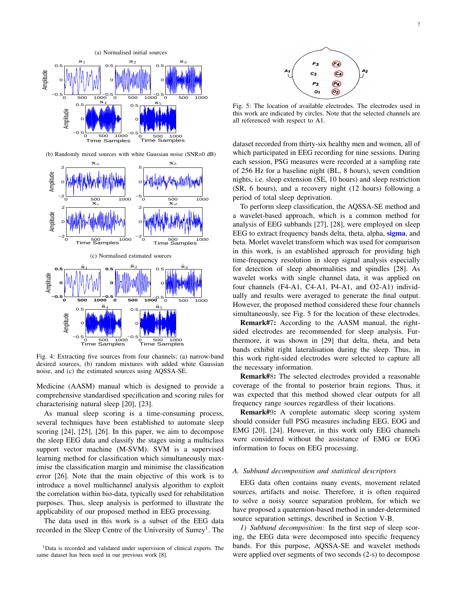

(b) Randomly mixed sources with white Gaussian noise (SNR=0 dB)



Fig. 4: Extracting five sources from four channels; (a) narrow-band desired sources, (b) random mixtures with added white Gaussian noise, and (c) the estimated sources using AQSSA-SE.

Medicine (AASM) manual which is designed to provide a comprehensive standardised specification and scoring rules for characterising natural sleep [20], [23].

As manual sleep scoring is a time-consuming process, several techniques have been established to automate sleep scoring [24], [25], [26]. In this paper, we aim to decompose the sleep EEG data and classify the stages using a multiclass support vector machine (M-SVM). SVM is a supervised learning method for classification which simultaneously maximise the classification margin and minimise the classification error [26]. Note that the main objective of this work is to introduce a novel multichannel analysis algorithm to exploit the correlation within bio-data, typically used for rehabilitation purposes. Thus, sleep analysis is performed to illustrate the applicability of our proposed method in EEG processing.

The data used in this work is a subset of the EEG data recorded in the Sleep Centre of the University of Surrey<sup>1</sup>. The



Fig. 5: The location of available electrodes. The electrodes used in this work are indicated by circles. Note that the selected channels are all referenced with respect to A1.

dataset recorded from thirty-six healthy men and women, all of which participated in EEG recording for nine sessions. During each session, PSG measures were recorded at a sampling rate of 256 Hz for a baseline night (BL, 8 hours), seven condition nights, i.e. sleep extension (SE, 10 hours) and sleep restriction (SR, 6 hours), and a recovery night (12 hours) following a period of total sleep deprivation.

To perform sleep classification, the AQSSA-SE method and a wavelet-based approach, which is a common method for analysis of EEG subbands [27], [28], were employed on sleep EEG to extract frequency bands delta, theta, alpha, sigma, and beta. Morlet wavelet transform which was used for comparison in this work, is an established approach for providing high time-frequency resolution in sleep signal analysis especially for detection of sleep abnormalities and spindles [28]. As wavelet works with single channel data, it was applied on four channels (F4-A1, C4-A1, P4-A1, and O2-A1) individually and results were averaged to generate the final output. However, the proposed method considered these four channels simultaneously, see Fig. 5 for the location of these electrodes.

Remark#7: According to the AASM manual, the rightsided electrodes are recommended for sleep analysis. Furthermore, it was shown in [29] that delta, theta, and beta bands exhibit right lateralisation during the sleep. Thus, in this work right-sided electrodes were selected to capture all the necessary information.

Remark#8: The selected electrodes provided a reasonable coverage of the frontal to posterior brain regions. Thus, it was expected that this method showed clear outputs for all frequency range sources regardless of their locations.

Remark#9: A complete automatic sleep scoring system should consider full PSG measures including EEG, EOG and EMG [20], [24]. However, in this work only EEG channels were considered without the assistance of EMG or EOG information to focus on EEG processing.

#### *A. Subband decomposition and statistical descriptors*

EEG data often contains many events, movement related sources, artifacts and noise. Therefore, it is often required to solve a noisy source separation problem, for which we have proposed a quaternion-based method in under-determined source separation settings, described in Section V-B.

*1) Subband decomposition:* In the first step of sleep scoring, the EEG data were decomposed into specific frequency bands. For this purpose, AQSSA-SE and wavelet methods were applied over segments of two seconds (2-s) to decompose

<sup>&</sup>lt;sup>1</sup>Data is recorded and validated under supervision of clinical experts. The same dataset has been used in our previous work [8].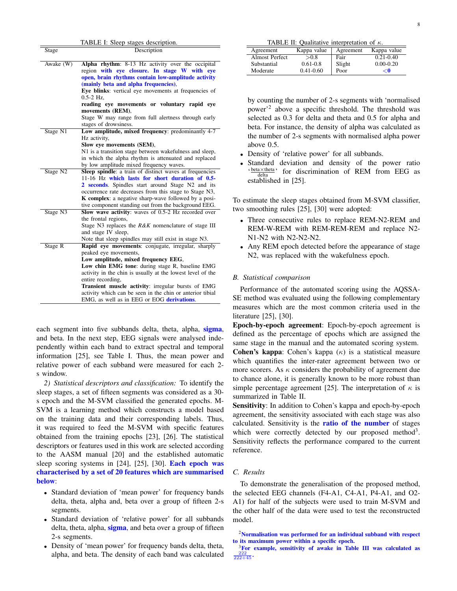|                      | TABLE I: Sleep stages description.                                                                         |
|----------------------|------------------------------------------------------------------------------------------------------------|
| Stage                | Description                                                                                                |
| Awake (W)            | Alpha rhythm: 8-13 Hz activity over the occipital                                                          |
|                      | region with eye closure. In stage W with eye                                                               |
|                      | open, brain rhythms contain low-amplitude activity                                                         |
|                      | (mainly beta and alpha frequencies),                                                                       |
|                      | Eye blinks: vertical eye movements at frequencies of                                                       |
|                      | $0.5 - 2$ Hz,                                                                                              |
|                      | reading eye movements or voluntary rapid eye                                                               |
|                      | movements (REM),                                                                                           |
|                      | Stage W may range from full alertness through early                                                        |
|                      | stages of drowsiness.                                                                                      |
| Stage N1             | Low amplitude, mixed frequency: predominantly 4-7                                                          |
|                      | Hz activity,                                                                                               |
|                      | Slow eye movements (SEM),                                                                                  |
|                      | N1 is a transition stage between wakefulness and sleep,                                                    |
|                      | in which the alpha rhythm is attenuated and replaced                                                       |
|                      | by low amplitude mixed frequency waves.                                                                    |
| Stage N <sub>2</sub> | Sleep spindle: a train of distinct waves at frequencies<br>11-16 Hz which lasts for short duration of 0.5- |
|                      | 2 seconds. Spindles start around Stage N2 and its                                                          |
|                      | occurrence rate decreases from this stage to Stage N3,                                                     |
|                      | <b>K</b> complex: a negative sharp-wave followed by a posi-                                                |
|                      | tive component standing out from the background EEG.                                                       |
| Stage N3             | Slow wave activity: waves of 0.5-2 Hz recorded over                                                        |
|                      | the frontal regions,                                                                                       |
|                      | Stage N3 replaces the R&K nomenclature of stage III                                                        |
|                      | and stage IV sleep,                                                                                        |
|                      | Note that sleep spindles may still exist in stage N3.                                                      |
| Stage R              | Rapid eye movements: conjugate, irregular, sharply                                                         |
|                      | peaked eye movements,                                                                                      |
|                      | Low amplitude, mixed frequency EEG,                                                                        |
|                      | Low chin EMG tone: during stage R, baseline EMG                                                            |
|                      | activity in the chin is usually at the lowest level of the                                                 |
|                      | entire recording,                                                                                          |
|                      | Transient muscle activity: irregular bursts of EMG                                                         |
|                      | activity which can be seen in the chin or anterior tibial                                                  |
|                      | EMG, as well as in EEG or EOG derivations.                                                                 |
|                      |                                                                                                            |

each segment into five subbands delta, theta, alpha, sigma, and beta. In the next step, EEG signals were analysed independently within each band to extract spectral and temporal information [25], see Table I. Thus, the mean power and relative power of each subband were measured for each 2 s window.

*2) Statistical descriptors and classification:* To identify the sleep stages, a set of fifteen segments was considered as a 30 s epoch and the M-SVM classified the generated epochs. M-SVM is a learning method which constructs a model based on the training data and their corresponding labels. Thus, it was required to feed the M-SVM with specific features obtained from the training epochs [23], [26]. The statistical descriptors or features used in this work are selected according to the AASM manual [20] and the established automatic sleep scoring systems in [24], [25], [30]. Each epoch was characterised by a set of 20 features which are summarised below:

- Standard deviation of 'mean power' for frequency bands delta, theta, alpha and, beta over a group of fifteen 2-s segments.
- Standard deviation of 'relative power' for all subbands delta, theta, alpha, **sigma**, and beta over a group of fifteen 2-s segments.
- Density of 'mean power' for frequency bands delta, theta, alpha, and beta. The density of each band was calculated

TABLE II: Qualitative interpretation of  $\kappa$ .

| Agreement             | Kappa value   | Agreement | Kappa value   |
|-----------------------|---------------|-----------|---------------|
| <b>Almost Perfect</b> | > 0.8         | Fair      | $0.21 - 0.40$ |
| Substantial           | $0.61 - 0.8$  | Slight    | $0.00 - 0.20$ |
| Moderate              | $0.41 - 0.60$ | Poor      | <0            |

by counting the number of 2-s segments with 'normalised power'<sup>2</sup> above a specific threshold. The threshold was selected as 0.3 for delta and theta and 0.5 for alpha and beta. For instance, the density of alpha was calculated as the number of 2-s segments with normalised alpha power above 0.5.

- Density of 'relative power' for all subbands.
- Standard deviation and density of the power ratio  $\frac{\text{beta} \times \text{theta}}{\text{delta}}$  for discrimination of REM from EEG as established in [25].

To estimate the sleep stages obtained from M-SVM classifier, two smoothing rules [25], [30] were adopted:

- Three consecutive rules to replace REM-N2-REM and REM-W-REM with REM-REM-REM and replace N2- N1-N2 with N2-N2-N2.
- Any REM epoch detected before the appearance of stage N2, was replaced with the wakefulness epoch.

#### *B. Statistical comparison*

Performance of the automated scoring using the AQSSA-SE method was evaluated using the following complementary measures which are the most common criteria used in the literature [25], [30].

Epoch-by-epoch agreement: Epoch-by-epoch agreement is defined as the percentage of epochs which are assigned the same stage in the manual and the automated scoring system. Cohen's kappa: Cohen's kappa  $(\kappa)$  is a statistical measure which quantifies the inter-rater agreement between two or more scorers. As  $\kappa$  considers the probability of agreement due to chance alone, it is generally known to be more robust than simple percentage agreement [25]. The interpretation of  $\kappa$  is summarized in Table II.

Sensitivity: In addition to Cohen's kappa and epoch-by-epoch agreement, the sensitivity associated with each stage was also calculated. Sensitivity is the **ratio of the number** of stages which were correctly detected by our proposed method<sup>3</sup>. Sensitivity reflects the performance compared to the current reference.

## *C. Results*

To demonstrate the generalisation of the proposed method, the selected EEG channels (F4-A1, C4-A1, P4-A1, and O2- A1) for half of the subjects were used to train M-SVM and the other half of the data were used to test the reconstructed model.

 $2$ Normalisation was performed for an individual subband with respect to its maximum power within a specific epoch.

<sup>3</sup>For example, sensitivity of awake in Table III was calculated as  $\frac{222}{222+45}$ .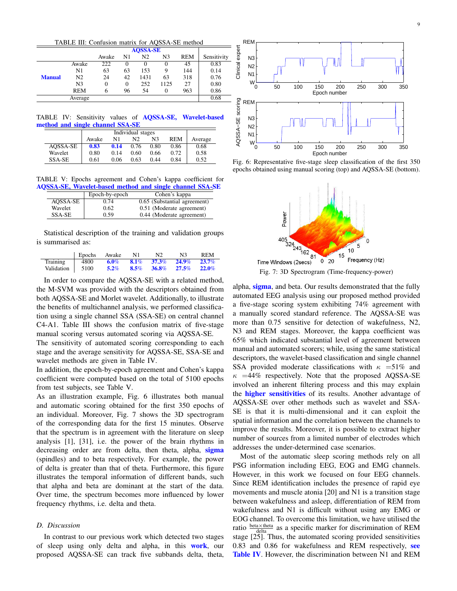TABLE III: Confusion matrix for AQSSA-SE method

|               |                | <b>AQSSA-SE</b> |          |                |      |            |             |
|---------------|----------------|-----------------|----------|----------------|------|------------|-------------|
|               |                | Awake           | N1       | N <sub>2</sub> | N3   | <b>REM</b> | Sensitivity |
|               | Awake          | 222             | 0        |                | 0    | 45         | 0.83        |
|               | N1             | 63              | 63       | 153            | 9    | 144        | 0.14        |
| <b>Manual</b> | N2             | 24              | 42       | 1431           | 63   | 318        | 0.76        |
|               | N <sub>3</sub> | 0               | $\Omega$ | 252            | 1125 | 27         | 0.80        |
|               | <b>REM</b>     | 6               | 96       | 54             | 0    | 963        | 0.86        |
|               | Average        |                 |          |                |      |            | 0.68        |

TABLE IV: Sensitivity values of AQSSA-SE, Wavelet-based method and single channel SSA-SE

|          | Individual stages |      |      |      |            |         |
|----------|-------------------|------|------|------|------------|---------|
|          | Awake             | N1   | N2   | N3   | <b>REM</b> | Average |
| AOSSA-SE | 0.83              | 0.14 | 0.76 | 0.80 | 0.86       | 0.68    |
| Wavelet  | 0.80              | 0.14 | 0.60 | 0.66 | 0.72       | 0.58    |
| SSA-SE   | 0.61              | 0.06 | 0.63 | 0.44 | 0.84       | 0.52    |

TABLE V: Epochs agreement and Cohen's kappa coefficient for AQSSA-SE, Wavelet-based method and single channel SSA-SE

|          | Epoch-by-epoch | Cohen's kappa                |
|----------|----------------|------------------------------|
| AOSSA-SE | 0.74           | 0.65 (Substantial agreement) |
| Wavelet  | 0.62           | 0.51 (Moderate agreement)    |
| SSA-SE   | 0.59           | 0.44 (Moderate agreement)    |

Statistical description of the training and validation groups is summarised as:

|                   | Epochs Awake |         | N1 | N2. | N <sub>3</sub>                             | <b>REM</b> |
|-------------------|--------------|---------|----|-----|--------------------------------------------|------------|
| Training          | 4800         |         |    |     | $6.0\%$ $8.1\%$ $37.3\%$ $24.9\%$ $23.7\%$ |            |
| Validation   5100 |              | $5.2\%$ |    |     | $8.5\%$ $36.8\%$ $27.5\%$ $22.0\%$         |            |

In order to compare the AQSSA-SE with a related method, the M-SVM was provided with the descriptors obtained from both AQSSA-SE and Morlet wavelet. Additionally, to illustrate the benefits of multichannel analysis, we performed classification using a single channel SSA (SSA-SE) on central channel C4-A1. Table III shows the confusion matrix of five-stage manual scoring versus automated scoring via AQSSA-SE.

The sensitivity of automated scoring corresponding to each stage and the average sensitivity for AQSSA-SE, SSA-SE and wavelet methods are given in Table IV.

In addition, the epoch-by-epoch agreement and Cohen's kappa coefficient were computed based on the total of 5100 epochs from test subjects, see Table V.

As an illustration example, Fig. 6 illustrates both manual and automatic scoring obtained for the first 350 epochs of an individual. Moreover, Fig. 7 shows the 3D spectrogram of the corresponding data for the first 15 minutes. Observe that the spectrum is in agreement with the literature on sleep analysis [1], [31], i.e. the power of the brain rhythms in decreasing order are from delta, then theta, alpha, sigma (spindles) and to beta respectively. For example, the power of delta is greater than that of theta. Furthermore, this figure illustrates the temporal information of different bands, such that alpha and beta are dominant at the start of the data. Over time, the spectrum becomes more influenced by lower frequency rhythms, i.e. delta and theta.

### *D. Discussion*

In contrast to our previous work which detected two stages of sleep using only delta and alpha, in this work, our proposed AQSSA-SE can track five subbands delta, theta,



Fig. 6: Representative five-stage sleep classification of the first 350 epochs obtained using manual scoring (top) and AQSSA-SE (bottom).



Fig. 7: 3D Spectrogram (Time-frequency-power)

alpha, sigma, and beta. Our results demonstrated that the fully automated EEG analysis using our proposed method provided a five-stage scoring system exhibiting 74% agreement with a manually scored standard reference. The AQSSA-SE was more than 0.75 sensitive for detection of wakefulness, N2, N3 and REM stages. Moreover, the kappa coefficient was 65% which indicated substantial level of agreement between manual and automated scorers; while, using the same statistical descriptors, the wavelet-based classification and single channel SSA provided moderate classifications with  $\kappa$  =51% and  $\kappa$  =44% respectively. Note that the proposed AQSSA-SE involved an inherent filtering process and this may explain the **higher sensitivities** of its results. Another advantage of AQSSA-SE over other methods such as wavelet and SSA-SE is that it is multi-dimensional and it can exploit the spatial information and the correlation between the channels to improve the results. Moreover, it is possible to extract higher number of sources from a limited number of electrodes which addresses the under-determined case scenarios.

Most of the automatic sleep scoring methods rely on all PSG information including EEG, EOG and EMG channels. However, in this work we focused on four EEG channels. Since REM identification includes the presence of rapid eye movements and muscle atonia [20] and N1 is a transition stage between wakefulness and asleep, differentiation of REM from wakefulness and N1 is difficult without using any EMG or EOG channel. To overcome this limitation, we have utilised the ratio  $\frac{\text{beta} \times \text{theta}}{\text{delta}}$  as a specific marker for discrimination of REM stage [25]. Thus, the automated scoring provided sensitivities 0.83 and 0.86 for wakefulness and REM respectively, see Table IV. However, the discrimination between N1 and REM